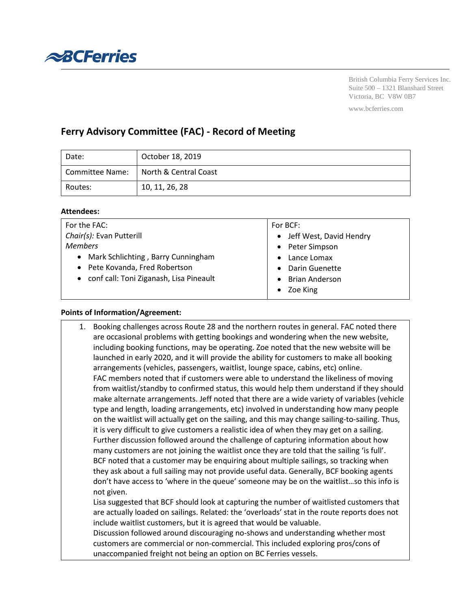

British Columbia Ferry Services Inc. Suite 500 – 1321 Blanshard Street Victoria, BC V8W 0B7

#### www.bcferries.com

# **Ferry Advisory Committee (FAC) - Record of Meeting**

| Date:           | October 18, 2019      |
|-----------------|-----------------------|
| Committee Name: | North & Central Coast |
| Routes:         | 10, 11, 26, 28        |

### **Attendees:**

| For the FAC:                              | For BCF:                  |  |
|-------------------------------------------|---------------------------|--|
| Chair(s): Evan Putterill                  | • Jeff West, David Hendry |  |
| <b>Members</b>                            | • Peter Simpson           |  |
| • Mark Schlichting, Barry Cunningham      | Lance Lomax               |  |
| • Pete Kovanda, Fred Robertson            | Darin Guenette            |  |
| • conf call: Toni Ziganash, Lisa Pineault | <b>Brian Anderson</b>     |  |
|                                           | Zoe King<br>$\bullet$     |  |
|                                           |                           |  |

#### **Points of Information/Agreement:**

1. Booking challenges across Route 28 and the northern routes in general. FAC noted there are occasional problems with getting bookings and wondering when the new website, including booking functions, may be operating. Zoe noted that the new website will be launched in early 2020, and it will provide the ability for customers to make all booking arrangements (vehicles, passengers, waitlist, lounge space, cabins, etc) online. FAC members noted that if customers were able to understand the likeliness of moving from waitlist/standby to confirmed status, this would help them understand if they should make alternate arrangements. Jeff noted that there are a wide variety of variables (vehicle type and length, loading arrangements, etc) involved in understanding how many people on the waitlist will actually get on the sailing, and this may change sailing-to-sailing. Thus, it is very difficult to give customers a realistic idea of when they may get on a sailing. Further discussion followed around the challenge of capturing information about how many customers are not joining the waitlist once they are told that the sailing 'is full'. BCF noted that a customer may be enquiring about multiple sailings, so tracking when they ask about a full sailing may not provide useful data. Generally, BCF booking agents don't have access to 'where in the queue' someone may be on the waitlist…so this info is not given. Lisa suggested that BCF should look at capturing the number of waitlisted customers that are actually loaded on sailings. Related: the 'overloads' stat in the route reports does not include waitlist customers, but it is agreed that would be valuable. Discussion followed around discouraging no-shows and understanding whether most customers are commercial or non-commercial. This included exploring pros/cons of unaccompanied freight not being an option on BC Ferries vessels.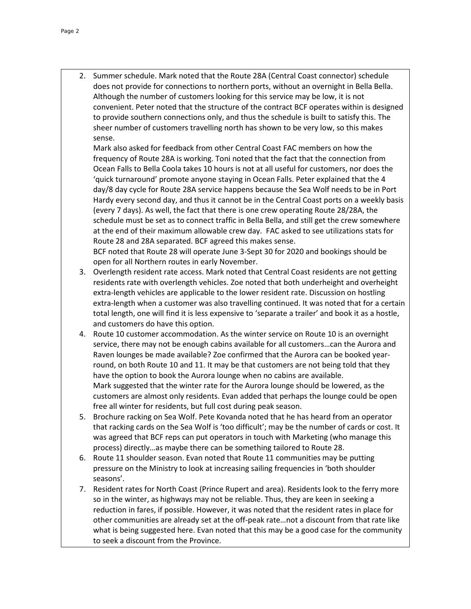2. Summer schedule. Mark noted that the Route 28A (Central Coast connector) schedule does not provide for connections to northern ports, without an overnight in Bella Bella. Although the number of customers looking for this service may be low, it is not convenient. Peter noted that the structure of the contract BCF operates within is designed to provide southern connections only, and thus the schedule is built to satisfy this. The sheer number of customers travelling north has shown to be very low, so this makes sense.

Mark also asked for feedback from other Central Coast FAC members on how the frequency of Route 28A is working. Toni noted that the fact that the connection from Ocean Falls to Bella Coola takes 10 hours is not at all useful for customers, nor does the 'quick turnaround' promote anyone staying in Ocean Falls. Peter explained that the 4 day/8 day cycle for Route 28A service happens because the Sea Wolf needs to be in Port Hardy every second day, and thus it cannot be in the Central Coast ports on a weekly basis (every 7 days). As well, the fact that there is one crew operating Route 28/28A, the schedule must be set as to connect traffic in Bella Bella, and still get the crew somewhere at the end of their maximum allowable crew day. FAC asked to see utilizations stats for Route 28 and 28A separated. BCF agreed this makes sense. BCF noted that Route 28 will operate June 3-Sept 30 for 2020 and bookings should be

open for all Northern routes in early November.

- 3. Overlength resident rate access. Mark noted that Central Coast residents are not getting residents rate with overlength vehicles. Zoe noted that both underheight and overheight extra-length vehicles are applicable to the lower resident rate. Discussion on hostling extra-length when a customer was also travelling continued. It was noted that for a certain total length, one will find it is less expensive to 'separate a trailer' and book it as a hostle, and customers do have this option.
- 4. Route 10 customer accommodation. As the winter service on Route 10 is an overnight service, there may not be enough cabins available for all customers…can the Aurora and Raven lounges be made available? Zoe confirmed that the Aurora can be booked yearround, on both Route 10 and 11. It may be that customers are not being told that they have the option to book the Aurora lounge when no cabins are available. Mark suggested that the winter rate for the Aurora lounge should be lowered, as the customers are almost only residents. Evan added that perhaps the lounge could be open free all winter for residents, but full cost during peak season.
- 5. Brochure racking on Sea Wolf. Pete Kovanda noted that he has heard from an operator that racking cards on the Sea Wolf is 'too difficult'; may be the number of cards or cost. It was agreed that BCF reps can put operators in touch with Marketing (who manage this process) directly…as maybe there can be something tailored to Route 28.
- 6. Route 11 shoulder season. Evan noted that Route 11 communities may be putting pressure on the Ministry to look at increasing sailing frequencies in 'both shoulder seasons'.
- 7. Resident rates for North Coast (Prince Rupert and area). Residents look to the ferry more so in the winter, as highways may not be reliable. Thus, they are keen in seeking a reduction in fares, if possible. However, it was noted that the resident rates in place for other communities are already set at the off-peak rate…not a discount from that rate like what is being suggested here. Evan noted that this may be a good case for the community to seek a discount from the Province.